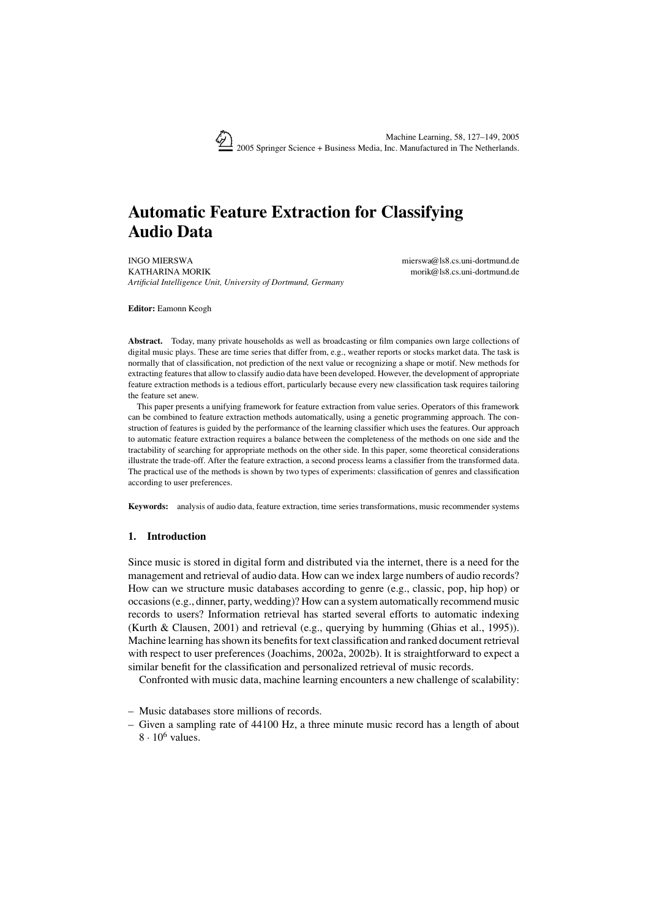# **Automatic Feature Extraction for Classifying Audio Data**

INGO MIERSWA mierswa@ls8.cs.uni-dortmund.de *Artificial Intelligence Unit, University of Dortmund, Germany*

morik@ls8.cs.uni-dortmund.de

**Editor:** Eamonn Keogh

**Abstract.** Today, many private households as well as broadcasting or film companies own large collections of digital music plays. These are time series that differ from, e.g., weather reports or stocks market data. The task is normally that of classification, not prediction of the next value or recognizing a shape or motif. New methods for extracting features that allow to classify audio data have been developed. However, the development of appropriate feature extraction methods is a tedious effort, particularly because every new classification task requires tailoring the feature set anew.

This paper presents a unifying framework for feature extraction from value series. Operators of this framework can be combined to feature extraction methods automatically, using a genetic programming approach. The construction of features is guided by the performance of the learning classifier which uses the features. Our approach to automatic feature extraction requires a balance between the completeness of the methods on one side and the tractability of searching for appropriate methods on the other side. In this paper, some theoretical considerations illustrate the trade-off. After the feature extraction, a second process learns a classifier from the transformed data. The practical use of the methods is shown by two types of experiments: classification of genres and classification according to user preferences.

**Keywords:** analysis of audio data, feature extraction, time series transformations, music recommender systems

#### **1. Introduction**

Since music is stored in digital form and distributed via the internet, there is a need for the management and retrieval of audio data. How can we index large numbers of audio records? How can we structure music databases according to genre (e.g., classic, pop, hip hop) or occasions (e.g., dinner, party, wedding)? How can a system automatically recommend music records to users? Information retrieval has started several efforts to automatic indexing (Kurth & Clausen, 2001) and retrieval (e.g., querying by humming (Ghias et al., 1995)). Machine learning has shown its benefits for text classification and ranked document retrieval with respect to user preferences (Joachims, 2002a, 2002b). It is straightforward to expect a similar benefit for the classification and personalized retrieval of music records.

Confronted with music data, machine learning encounters a new challenge of scalability:

- Music databases store millions of records.
- Given a sampling rate of 44100 Hz, a three minute music record has a length of about  $8 \cdot 10^6$  values.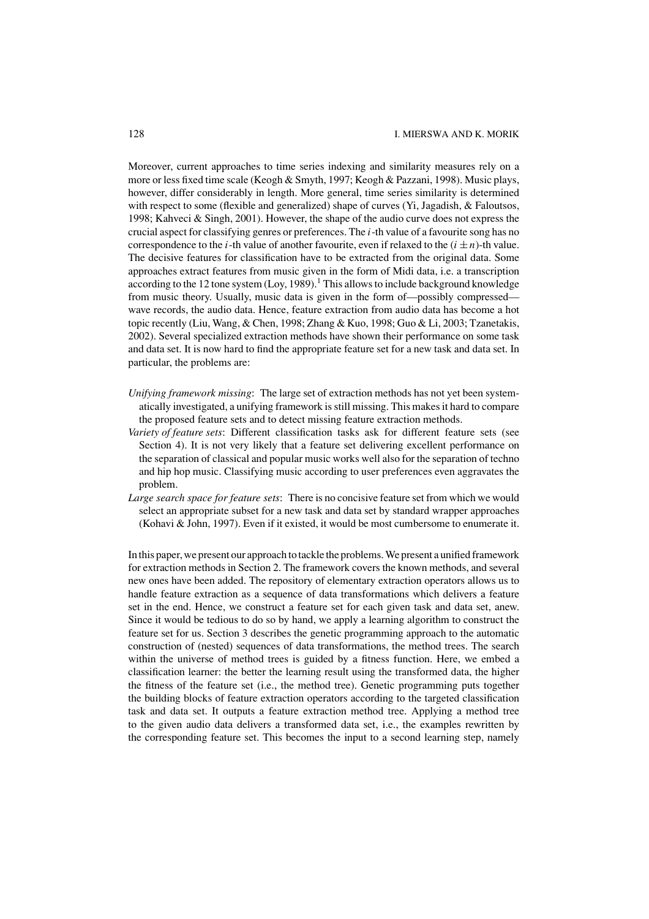Moreover, current approaches to time series indexing and similarity measures rely on a more or less fixed time scale (Keogh & Smyth, 1997; Keogh & Pazzani, 1998). Music plays, however, differ considerably in length. More general, time series similarity is determined with respect to some (flexible and generalized) shape of curves (Yi, Jagadish, & Faloutsos, 1998; Kahveci & Singh, 2001). However, the shape of the audio curve does not express the crucial aspect for classifying genres or preferences. The *i*-th value of a favourite song has no correspondence to the *i*-th value of another favourite, even if relaxed to the  $(i \pm n)$ -th value. The decisive features for classification have to be extracted from the original data. Some approaches extract features from music given in the form of Midi data, i.e. a transcription according to the 12 tone system (Loy, 1989).<sup>1</sup> This allows to include background knowledge from music theory. Usually, music data is given in the form of—possibly compressed wave records, the audio data. Hence, feature extraction from audio data has become a hot topic recently (Liu, Wang, & Chen, 1998; Zhang & Kuo, 1998; Guo & Li, 2003; Tzanetakis, 2002). Several specialized extraction methods have shown their performance on some task and data set. It is now hard to find the appropriate feature set for a new task and data set. In particular, the problems are:

- *Unifying framework missing*: The large set of extraction methods has not yet been systematically investigated, a unifying framework is still missing. This makes it hard to compare the proposed feature sets and to detect missing feature extraction methods.
- *Variety of feature sets*: Different classification tasks ask for different feature sets (see Section 4). It is not very likely that a feature set delivering excellent performance on the separation of classical and popular music works well also for the separation of techno and hip hop music. Classifying music according to user preferences even aggravates the problem.
- *Large search space for feature sets*: There is no concisive feature set from which we would select an appropriate subset for a new task and data set by standard wrapper approaches (Kohavi & John, 1997). Even if it existed, it would be most cumbersome to enumerate it.

In this paper, we present our approach to tackle the problems. We present a unified framework for extraction methods in Section 2. The framework covers the known methods, and several new ones have been added. The repository of elementary extraction operators allows us to handle feature extraction as a sequence of data transformations which delivers a feature set in the end. Hence, we construct a feature set for each given task and data set, anew. Since it would be tedious to do so by hand, we apply a learning algorithm to construct the feature set for us. Section 3 describes the genetic programming approach to the automatic construction of (nested) sequences of data transformations, the method trees. The search within the universe of method trees is guided by a fitness function. Here, we embed a classification learner: the better the learning result using the transformed data, the higher the fitness of the feature set (i.e., the method tree). Genetic programming puts together the building blocks of feature extraction operators according to the targeted classification task and data set. It outputs a feature extraction method tree. Applying a method tree to the given audio data delivers a transformed data set, i.e., the examples rewritten by the corresponding feature set. This becomes the input to a second learning step, namely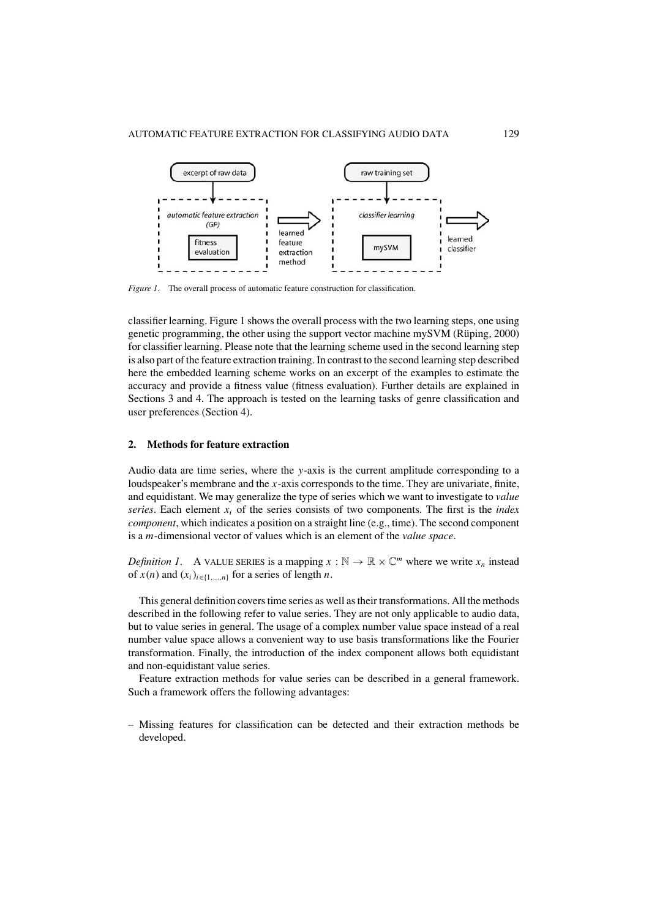

*Figure 1.* The overall process of automatic feature construction for classification.

classifier learning. Figure 1 shows the overall process with the two learning steps, one using genetic programming, the other using the support vector machine mySVM (Rüping, 2000) for classifier learning. Please note that the learning scheme used in the second learning step is also part of the feature extraction training. In contrast to the second learning step described here the embedded learning scheme works on an excerpt of the examples to estimate the accuracy and provide a fitness value (fitness evaluation). Further details are explained in Sections 3 and 4. The approach is tested on the learning tasks of genre classification and user preferences (Section 4).

## **2. Methods for feature extraction**

Audio data are time series, where the *y*-axis is the current amplitude corresponding to a loudspeaker's membrane and the *x*-axis corresponds to the time. They are univariate, finite, and equidistant. We may generalize the type of series which we want to investigate to *value series*. Each element *xi* of the series consists of two components. The first is the *index component*, which indicates a position on a straight line (e.g., time). The second component is a *m*-dimensional vector of values which is an element of the *value space*.

*Definition 1.* A VALUE SERIES is a mapping  $x : \mathbb{N} \to \mathbb{R} \times \mathbb{C}^m$  where we write  $x_n$  instead of  $x(n)$  and  $(x_i)_{i \in \{1,\ldots,n\}}$  for a series of length *n*.

This general definition covers time series as well as their transformations. All the methods described in the following refer to value series. They are not only applicable to audio data, but to value series in general. The usage of a complex number value space instead of a real number value space allows a convenient way to use basis transformations like the Fourier transformation. Finally, the introduction of the index component allows both equidistant and non-equidistant value series.

Feature extraction methods for value series can be described in a general framework. Such a framework offers the following advantages:

– Missing features for classification can be detected and their extraction methods be developed.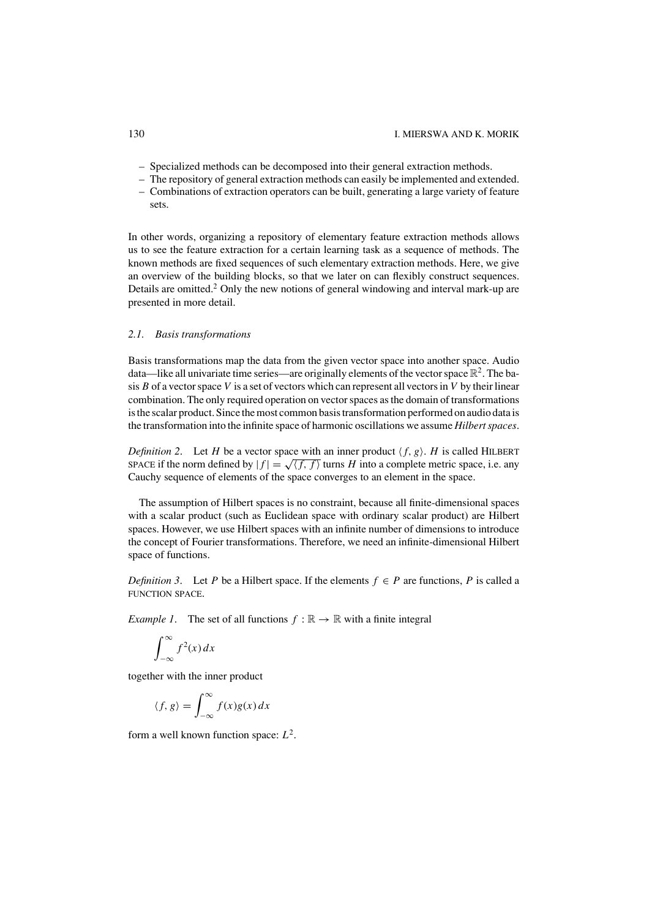## 130 I. MIERSWA AND K. MORIK

- Specialized methods can be decomposed into their general extraction methods.
- The repository of general extraction methods can easily be implemented and extended.
- Combinations of extraction operators can be built, generating a large variety of feature sets.

In other words, organizing a repository of elementary feature extraction methods allows us to see the feature extraction for a certain learning task as a sequence of methods. The known methods are fixed sequences of such elementary extraction methods. Here, we give an overview of the building blocks, so that we later on can flexibly construct sequences. Details are omitted.<sup>2</sup> Only the new notions of general windowing and interval mark-up are presented in more detail.

## *2.1. Basis transformations*

Basis transformations map the data from the given vector space into another space. Audio data—like all univariate time series—are originally elements of the vector space  $\mathbb{R}^2$ . The basis *B* of a vector space *V* is a set of vectors which can represent all vectors in *V* by their linear combination. The only required operation on vector spaces as the domain of transformations is the scalar product. Since the most common basis transformation performed on audio data is the transformation into the infinite space of harmonic oscillations we assume *Hilbert spaces*.

*Definition 2.* Let *H* be a vector space with an inner product  $\langle f, g \rangle$ . *H* is called HILBERT SPACE if the norm defined by  $|f| = \sqrt{\langle f, f \rangle}$  turns *H* into a complete metric space, i.e. any Cauchy sequence of elements of the space converges to an element in the space.

The assumption of Hilbert spaces is no constraint, because all finite-dimensional spaces with a scalar product (such as Euclidean space with ordinary scalar product) are Hilbert spaces. However, we use Hilbert spaces with an infinite number of dimensions to introduce the concept of Fourier transformations. Therefore, we need an infinite-dimensional Hilbert space of functions.

*Definition 3.* Let *P* be a Hilbert space. If the elements  $f \in P$  are functions, *P* is called a FUNCTION SPACE.

*Example 1*. The set of all functions  $f : \mathbb{R} \to \mathbb{R}$  with a finite integral

$$
\int_{-\infty}^{\infty} f^2(x) \, dx
$$

together with the inner product

$$
\langle f, g \rangle = \int_{-\infty}^{\infty} f(x)g(x) \, dx
$$

form a well known function space: *L*2.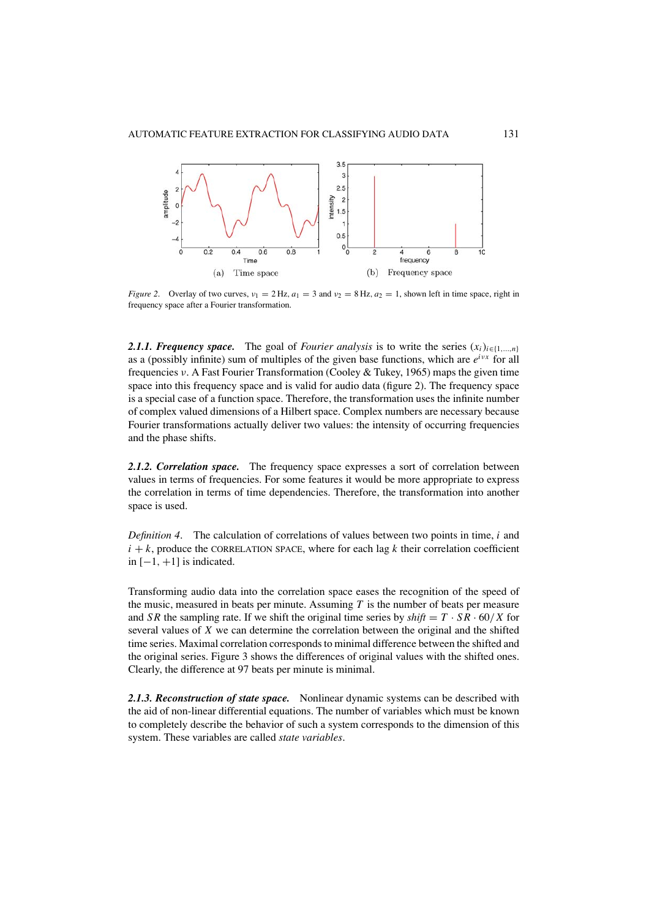

*Figure 2.* Overlay of two curves,  $v_1 = 2 Hz$ ,  $a_1 = 3$  and  $v_2 = 8 Hz$ ,  $a_2 = 1$ , shown left in time space, right in frequency space after a Fourier transformation.

2.1.1. Frequency space. The goal of *Fourier analysis* is to write the series  $(x_i)_{i \in \{1,\dots,n\}}$ as a (possibly infinite) sum of multiples of the given base functions, which are *e<sup>i</sup>*ν*<sup>x</sup>* for all frequencies ν. A Fast Fourier Transformation (Cooley & Tukey, 1965) maps the given time space into this frequency space and is valid for audio data (figure 2). The frequency space is a special case of a function space. Therefore, the transformation uses the infinite number of complex valued dimensions of a Hilbert space. Complex numbers are necessary because Fourier transformations actually deliver two values: the intensity of occurring frequencies and the phase shifts.

*2.1.2. Correlation space.* The frequency space expresses a sort of correlation between values in terms of frequencies. For some features it would be more appropriate to express the correlation in terms of time dependencies. Therefore, the transformation into another space is used.

*Definition 4*. The calculation of correlations of values between two points in time, *i* and  $i + k$ , produce the CORRELATION SPACE, where for each lag  $k$  their correlation coefficient in  $[-1, +1]$  is indicated.

Transforming audio data into the correlation space eases the recognition of the speed of the music, measured in beats per minute. Assuming  $T$  is the number of beats per measure and *SR* the sampling rate. If we shift the original time series by *shift* =  $T \cdot SR \cdot 60/X$  for several values of *X* we can determine the correlation between the original and the shifted time series. Maximal correlation corresponds to minimal difference between the shifted and the original series. Figure 3 shows the differences of original values with the shifted ones. Clearly, the difference at 97 beats per minute is minimal.

*2.1.3. Reconstruction of state space.* Nonlinear dynamic systems can be described with the aid of non-linear differential equations. The number of variables which must be known to completely describe the behavior of such a system corresponds to the dimension of this system. These variables are called *state variables*.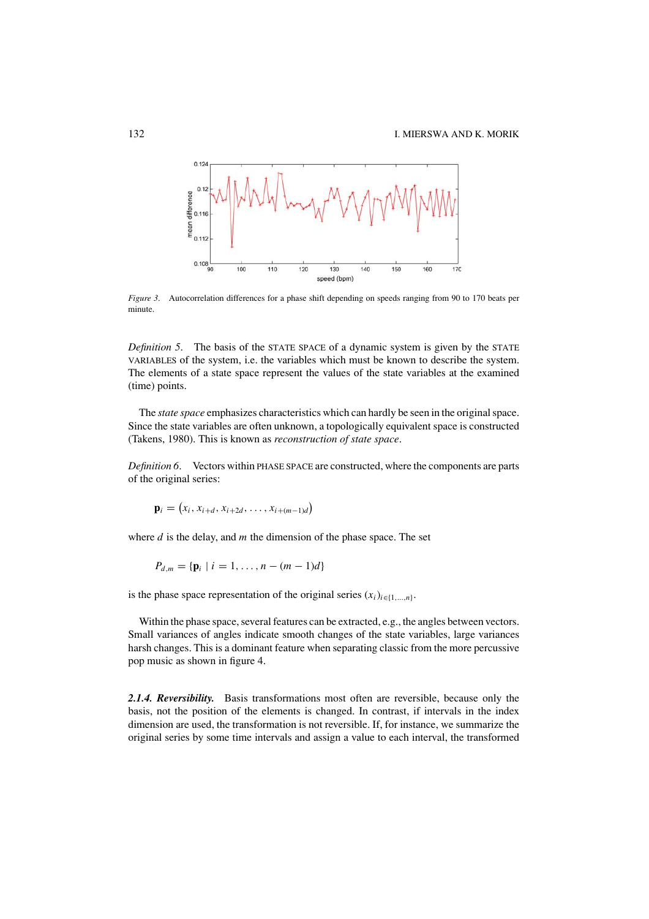

*Figure 3*. Autocorrelation differences for a phase shift depending on speeds ranging from 90 to 170 beats per minute.

*Definition 5*. The basis of the STATE SPACE of a dynamic system is given by the STATE VARIABLES of the system, i.e. the variables which must be known to describe the system. The elements of a state space represent the values of the state variables at the examined (time) points.

The *state space* emphasizes characteristics which can hardly be seen in the original space. Since the state variables are often unknown, a topologically equivalent space is constructed (Takens, 1980). This is known as *reconstruction of state space*.

*Definition 6*. Vectors within PHASE SPACE are constructed, where the components are parts of the original series:

$$
\mathbf{p}_i = (x_i, x_{i+d}, x_{i+2d}, \dots, x_{i+(m-1)d})
$$

where *d* is the delay, and *m* the dimension of the phase space. The set

$$
P_{d,m} = \{ \mathbf{p}_i \mid i = 1, \dots, n - (m-1)d \}
$$

is the phase space representation of the original series  $(x_i)_{i \in \{1,\ldots,n\}}$ .

Within the phase space, several features can be extracted, e.g., the angles between vectors. Small variances of angles indicate smooth changes of the state variables, large variances harsh changes. This is a dominant feature when separating classic from the more percussive pop music as shown in figure 4.

*2.1.4. Reversibility.* Basis transformations most often are reversible, because only the basis, not the position of the elements is changed. In contrast, if intervals in the index dimension are used, the transformation is not reversible. If, for instance, we summarize the original series by some time intervals and assign a value to each interval, the transformed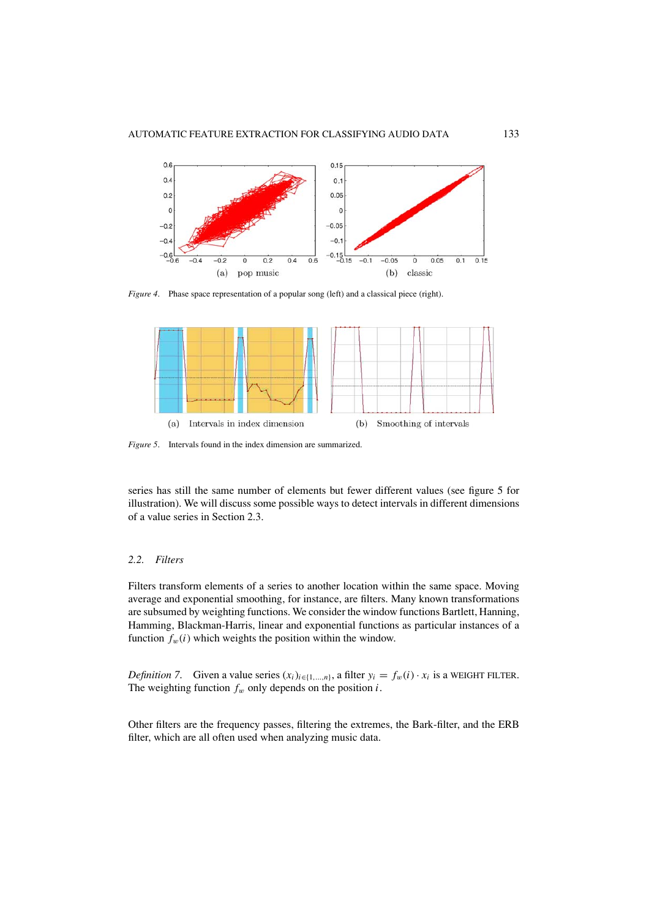

*Figure 4.* Phase space representation of a popular song (left) and a classical piece (right).



*Figure 5*. Intervals found in the index dimension are summarized.

series has still the same number of elements but fewer different values (see figure 5 for illustration). We will discuss some possible ways to detect intervals in different dimensions of a value series in Section 2.3.

## *2.2. Filters*

Filters transform elements of a series to another location within the same space. Moving average and exponential smoothing, for instance, are filters. Many known transformations are subsumed by weighting functions. We consider the window functions Bartlett, Hanning, Hamming, Blackman-Harris, linear and exponential functions as particular instances of a function  $f_w(i)$  which weights the position within the window.

*Definition 7.* Given a value series  $(x_i)_{i \in \{1,\ldots,n\}}$ , a filter  $y_i = f_w(i) \cdot x_i$  is a WEIGHT FILTER. The weighting function  $f_w$  only depends on the position  $i$ .

Other filters are the frequency passes, filtering the extremes, the Bark-filter, and the ERB filter, which are all often used when analyzing music data.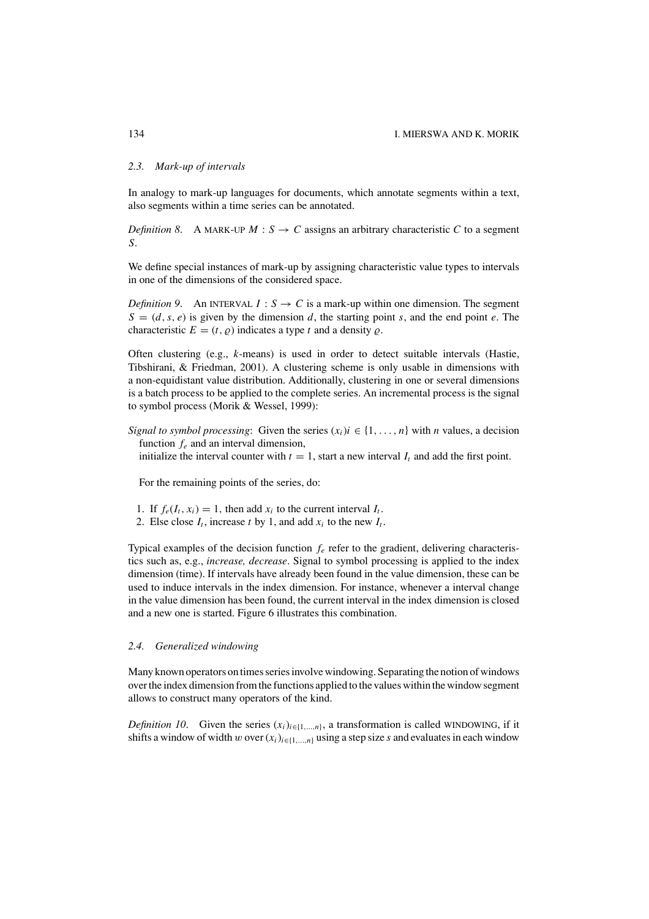#### *2.3. Mark-up of intervals*

In analogy to mark-up languages for documents, which annotate segments within a text, also segments within a time series can be annotated.

*Definition 8.* A MARK-UP  $M : S \rightarrow C$  assigns an arbitrary characteristic C to a segment *S*.

We define special instances of mark-up by assigning characteristic value types to intervals in one of the dimensions of the considered space.

*Definition 9.* An INTERVAL  $I: S \rightarrow C$  is a mark-up within one dimension. The segment  $S = (d, s, e)$  is given by the dimension *d*, the starting point *s*, and the end point *e*. The characteristic  $E = (t, \varrho)$  indicates a type *t* and a density  $\varrho$ .

Often clustering (e.g., *k*-means) is used in order to detect suitable intervals (Hastie, Tibshirani, & Friedman, 2001). A clustering scheme is only usable in dimensions with a non-equidistant value distribution. Additionally, clustering in one or several dimensions is a batch process to be applied to the complete series. An incremental process is the signal to symbol process (Morik & Wessel, 1999):

*Signal to symbol processing*: Given the series  $(x_i)i \in \{1, ..., n\}$  with *n* values, a decision function *fe* and an interval dimension, initialize the interval counter with  $t = 1$ , start a new interval  $I_t$  and add the first point.

For the remaining points of the series, do:

- 1. If  $f_e(I_t, x_i) = 1$ , then add  $x_i$  to the current interval  $I_t$ .
- 2. Else close  $I_t$ , increase *t* by 1, and add  $x_i$  to the new  $I_t$ .

Typical examples of the decision function *fe* refer to the gradient, delivering characteristics such as, e.g., *increase, decrease*. Signal to symbol processing is applied to the index dimension (time). If intervals have already been found in the value dimension, these can be used to induce intervals in the index dimension. For instance, whenever a interval change in the value dimension has been found, the current interval in the index dimension is closed and a new one is started. Figure 6 illustrates this combination.

## *2.4. Generalized windowing*

Many known operators on times series involve windowing. Separating the notion of windows overthe index dimension from the functions applied to the values within the window segment allows to construct many operators of the kind.

*Definition 10.* Given the series  $(x_i)_{i \in \{1,\ldots,n\}}$ , a transformation is called WINDOWING, if it shifts a window of width w over  $(x_i)_{i\in\{1,\ldots,n\}}$  using a step size *s* and evaluates in each window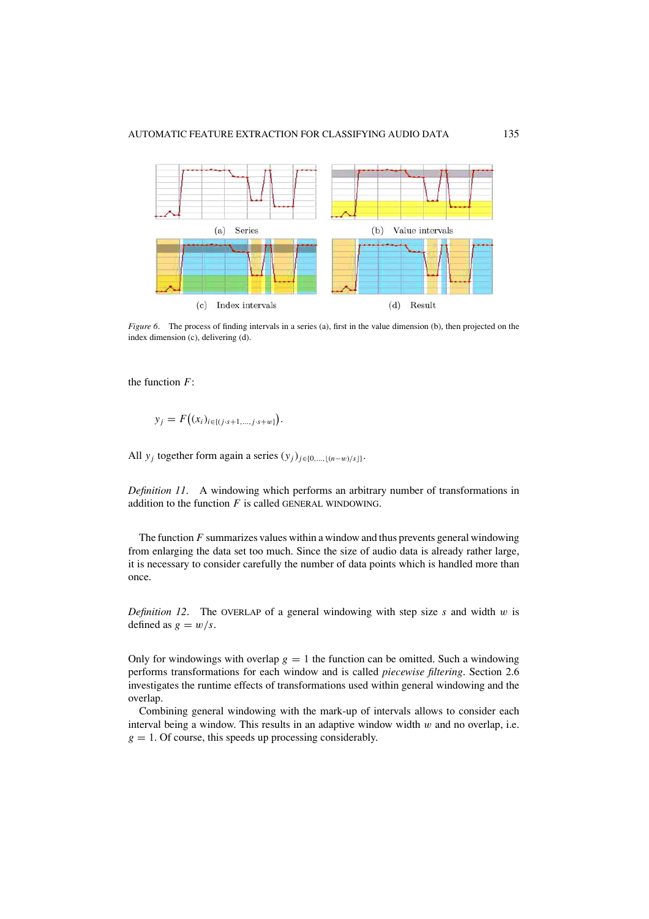

*Figure 6*. The process of finding intervals in a series (a), first in the value dimension (b), then projected on the index dimension (c), delivering (d).

the function *F*:

$$
y_j = F((x_i)_{i \in \{(j \cdot s+1, \dots, j \cdot s+w)\}}).
$$

All *y<sub>i</sub>* together form again a series  $(y_j)_{j \in \{0,\dots,\lfloor (n-w)/s \rfloor\}}$ .

*Definition 11*. A windowing which performs an arbitrary number of transformations in addition to the function *F* is called GENERAL WINDOWING.

The function *F* summarizes values within a window and thus prevents general windowing from enlarging the data set too much. Since the size of audio data is already rather large, it is necessary to consider carefully the number of data points which is handled more than once.

*Definition 12.* The OVERLAP of a general windowing with step size  $s$  and width  $w$  is defined as  $g = w/s$ .

Only for windowings with overlap  $g = 1$  the function can be omitted. Such a windowing performs transformations for each window and is called *piecewise filtering*. Section 2.6 investigates the runtime effects of transformations used within general windowing and the overlap.

Combining general windowing with the mark-up of intervals allows to consider each interval being a window. This results in an adaptive window width  $w$  and no overlap, i.e.  $g = 1$ . Of course, this speeds up processing considerably.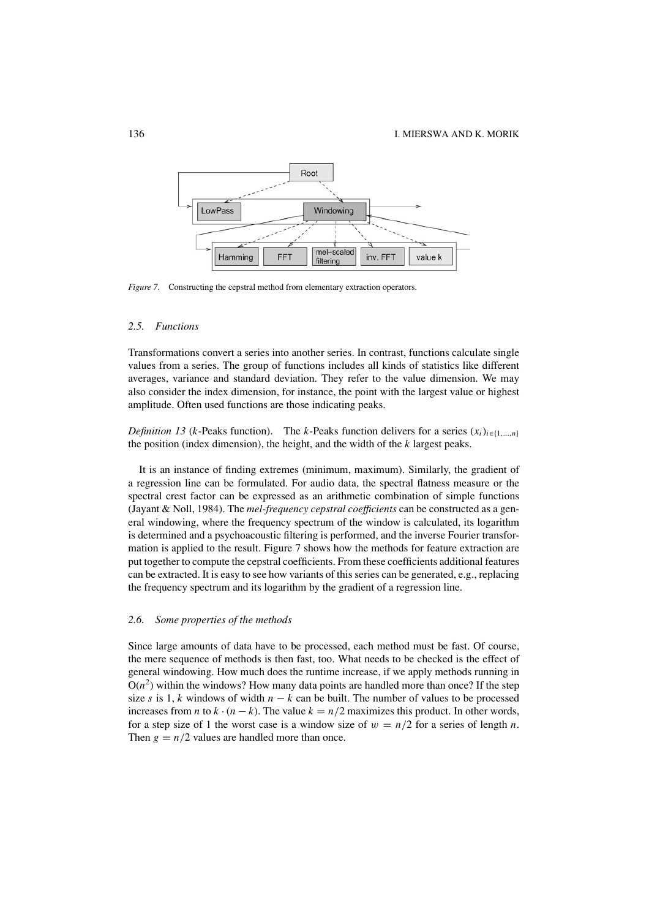

*Figure 7*. Constructing the cepstral method from elementary extraction operators.

## *2.5. Functions*

Transformations convert a series into another series. In contrast, functions calculate single values from a series. The group of functions includes all kinds of statistics like different averages, variance and standard deviation. They refer to the value dimension. We may also consider the index dimension, for instance, the point with the largest value or highest amplitude. Often used functions are those indicating peaks.

*Definition 13* (*k*-Peaks function). The *k*-Peaks function delivers for a series  $(x_i)_{i \in \{1,\ldots,n\}}$ the position (index dimension), the height, and the width of the *k* largest peaks.

It is an instance of finding extremes (minimum, maximum). Similarly, the gradient of a regression line can be formulated. For audio data, the spectral flatness measure or the spectral crest factor can be expressed as an arithmetic combination of simple functions (Jayant & Noll, 1984). The *mel-frequency cepstral coefficients* can be constructed as a general windowing, where the frequency spectrum of the window is calculated, its logarithm is determined and a psychoacoustic filtering is performed, and the inverse Fourier transformation is applied to the result. Figure 7 shows how the methods for feature extraction are put together to compute the cepstral coefficients. From these coefficients additional features can be extracted. It is easy to see how variants of this series can be generated, e.g., replacing the frequency spectrum and its logarithm by the gradient of a regression line.

#### *2.6. Some properties of the methods*

Since large amounts of data have to be processed, each method must be fast. Of course, the mere sequence of methods is then fast, too. What needs to be checked is the effect of general windowing. How much does the runtime increase, if we apply methods running in  $O(n^2)$  within the windows? How many data points are handled more than once? If the step size *s* is 1, *k* windows of width  $n - k$  can be built. The number of values to be processed increases from *n* to  $k \cdot (n - k)$ . The value  $k = n/2$  maximizes this product. In other words, for a step size of 1 the worst case is a window size of  $w = n/2$  for a series of length *n*. Then  $g = n/2$  values are handled more than once.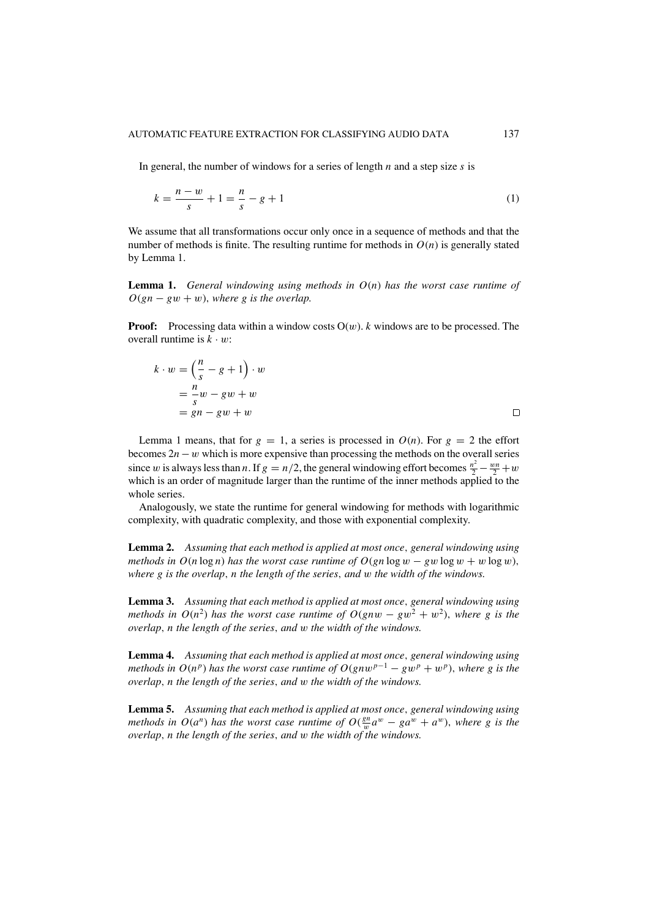In general, the number of windows for a series of length *n* and a step size *s* is

$$
k = \frac{n - w}{s} + 1 = \frac{n}{s} - g + 1\tag{1}
$$

We assume that all transformations occur only once in a sequence of methods and that the number of methods is finite. The resulting runtime for methods in  $O(n)$  is generally stated by Lemma 1.

**Lemma 1.** *General windowing using methods in O*(*n*) *has the worst case runtime of*  $O(gn-gw+w)$ , where g is the overlap.

**Proof:** Processing data within a window costs  $O(w)$ . *k* windows are to be processed. The overall runtime is  $k \cdot w$ :

$$
k \cdot w = \left(\frac{n}{s} - g + 1\right) \cdot w
$$
  
=  $\frac{n}{s}w - gw + w$   
=  $gn - gw + w$ 

Lemma 1 means, that for  $g = 1$ , a series is processed in  $O(n)$ . For  $g = 2$  the effort becomes  $2n - w$  which is more expensive than processing the methods on the overall series since w is always less than *n*. If  $g = n/2$ , the general windowing effort becomes  $\frac{n^2}{2} - \frac{wn}{2} + w$ which is an order of magnitude larger than the runtime of the inner methods applied to the whole series.

Analogously, we state the runtime for general windowing for methods with logarithmic complexity, with quadratic complexity, and those with exponential complexity.

**Lemma 2.** *Assuming that each method is applied at most once*, *general windowing using methods in*  $O(n \log n)$  *has the worst case runtime of*  $O(gn \log w - gw \log w + w \log w)$ , *where g is the overlap*, *n the length of the series*, *and* w *the width of the windows.*

**Lemma 3.** *Assuming that each method is applied at most once*, *general windowing using methods in O*( $n^2$ ) *has the worst case runtime of O*( $gnw - gw^2 + w^2$ ), *where g is the overlap*, *n the length of the series*, *and* w *the width of the windows.*

**Lemma 4.** *Assuming that each method is applied at most once*, *general windowing using methods in*  $O(n^p)$  *has the worst case runtime of*  $O(gnw^{p-1} - gw^p + w^p)$ , *where g is the overlap*, *n the length of the series*, *and* w *the width of the windows.*

**Lemma 5.** *Assuming that each method is applied at most once*, *general windowing using methods in O*( $a^n$ ) *has the worst case runtime of O*( $\frac{gn}{w}a^w - ga^w + a^w$ ), where g is the *overlap*, *n the length of the series*, *and* w *the width of the windows.*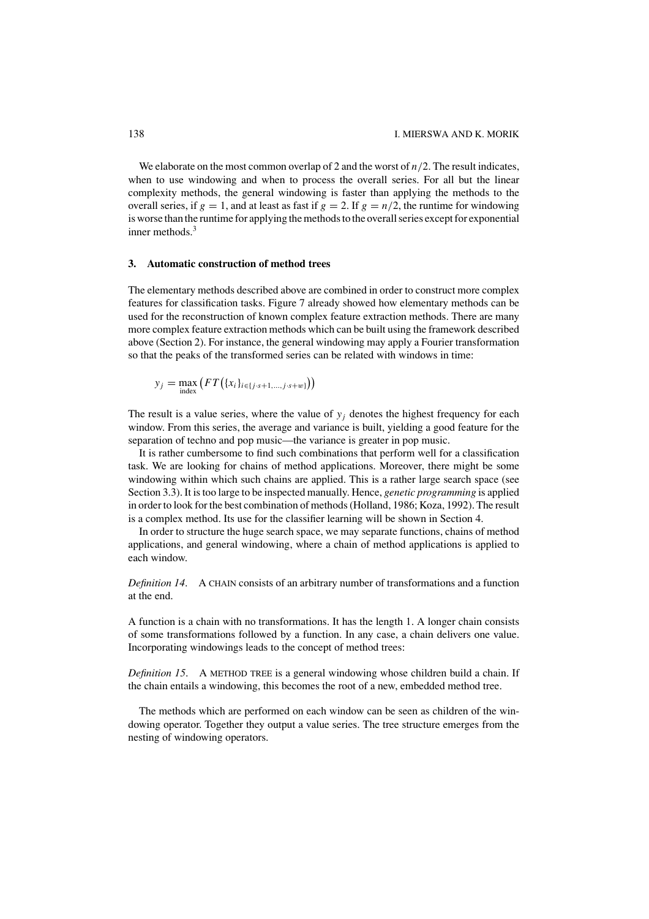We elaborate on the most common overlap of 2 and the worst of  $n/2$ . The result indicates, when to use windowing and when to process the overall series. For all but the linear complexity methods, the general windowing is faster than applying the methods to the overall series, if  $g = 1$ , and at least as fast if  $g = 2$ . If  $g = n/2$ , the runtime for windowing is worse than the runtime for applying the methods to the overall series except for exponential inner methods.<sup>3</sup>

## **3. Automatic construction of method trees**

The elementary methods described above are combined in order to construct more complex features for classification tasks. Figure 7 already showed how elementary methods can be used for the reconstruction of known complex feature extraction methods. There are many more complex feature extraction methods which can be built using the framework described above (Section 2). For instance, the general windowing may apply a Fourier transformation so that the peaks of the transformed series can be related with windows in time:

$$
y_j = \max_{\text{index}} (FT({x_i}_{i \in \{j \cdot s+1,\dots,j \cdot s+w\}}))
$$

The result is a value series, where the value of  $y_i$  denotes the highest frequency for each window. From this series, the average and variance is built, yielding a good feature for the separation of techno and pop music—the variance is greater in pop music.

It is rather cumbersome to find such combinations that perform well for a classification task. We are looking for chains of method applications. Moreover, there might be some windowing within which such chains are applied. This is a rather large search space (see Section 3.3). It is too large to be inspected manually. Hence, *genetic programming* is applied in order to look for the best combination of methods (Holland, 1986; Koza, 1992). The result is a complex method. Its use for the classifier learning will be shown in Section 4.

In order to structure the huge search space, we may separate functions, chains of method applications, and general windowing, where a chain of method applications is applied to each window.

*Definition 14*. A CHAIN consists of an arbitrary number of transformations and a function at the end.

A function is a chain with no transformations. It has the length 1. A longer chain consists of some transformations followed by a function. In any case, a chain delivers one value. Incorporating windowings leads to the concept of method trees:

*Definition 15*. A METHOD TREE is a general windowing whose children build a chain. If the chain entails a windowing, this becomes the root of a new, embedded method tree.

The methods which are performed on each window can be seen as children of the windowing operator. Together they output a value series. The tree structure emerges from the nesting of windowing operators.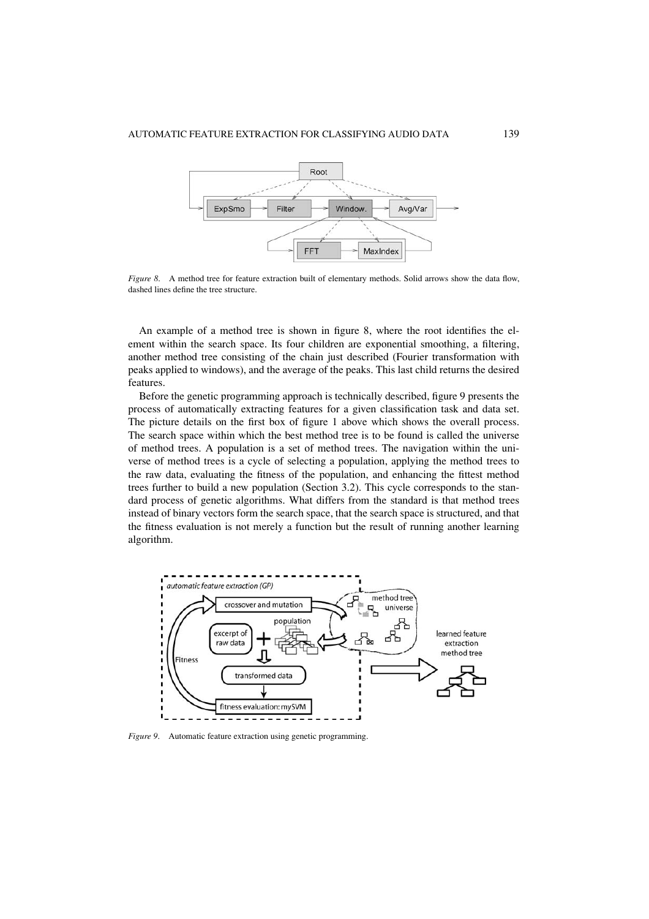

*Figure 8.* A method tree for feature extraction built of elementary methods. Solid arrows show the data flow, dashed lines define the tree structure.

An example of a method tree is shown in figure 8, where the root identifies the element within the search space. Its four children are exponential smoothing, a filtering, another method tree consisting of the chain just described (Fourier transformation with peaks applied to windows), and the average of the peaks. This last child returns the desired features.

Before the genetic programming approach is technically described, figure 9 presents the process of automatically extracting features for a given classification task and data set. The picture details on the first box of figure 1 above which shows the overall process. The search space within which the best method tree is to be found is called the universe of method trees. A population is a set of method trees. The navigation within the universe of method trees is a cycle of selecting a population, applying the method trees to the raw data, evaluating the fitness of the population, and enhancing the fittest method trees further to build a new population (Section 3.2). This cycle corresponds to the standard process of genetic algorithms. What differs from the standard is that method trees instead of binary vectors form the search space, that the search space is structured, and that the fitness evaluation is not merely a function but the result of running another learning algorithm.



*Figure 9*. Automatic feature extraction using genetic programming.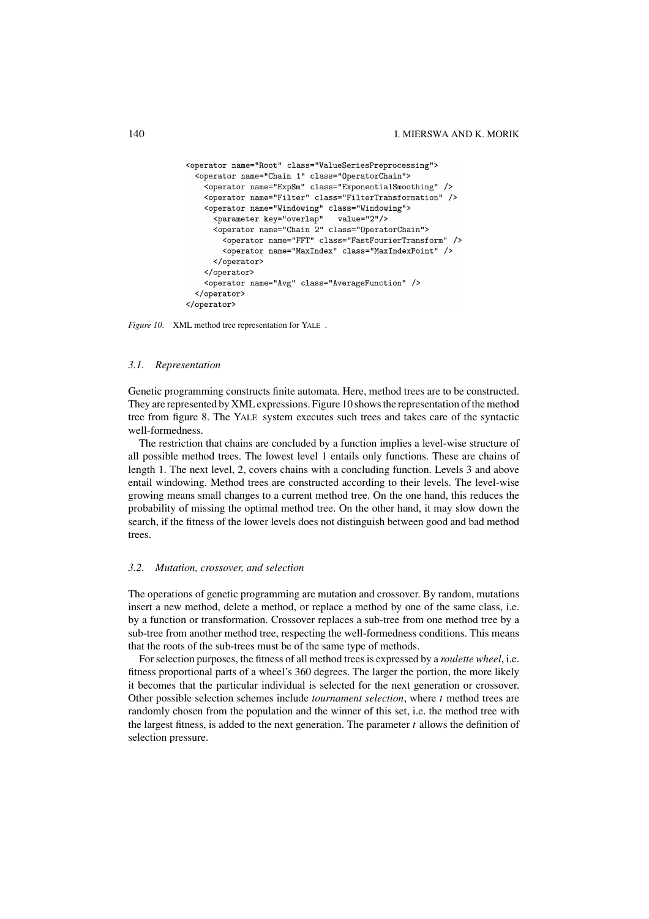```
<operator name="Root" class="ValueSeriesPreprocessing">
  -<br><operator name="Chain 1" class="OperatorChain">
    <operator name="ExpSm" class="ExponentialSmoothing" />
    <operator name="Filter" class="FilterTransformation" />
    <operator name="Windowing" class="Windowing">
      -<br><parameter key="overlap"
                               value="2"/>
      <operator name="Chain 2" class="OperatorChain">
        <operator name="FFT" class="FastFourierTransform" />
        <operator name="MaxIndex" class="MaxIndexPoint" />
      </operator>
    </operator>
    <operator name="Avg" class="AverageFunction" />
  </operator>
</operator>
```
*Figure 10*. XML method tree representation for YALE .

## *3.1. Representation*

Genetic programming constructs finite automata. Here, method trees are to be constructed. They are represented by XML expressions. Figure 10 shows the representation of the method tree from figure 8. The YALE system executes such trees and takes care of the syntactic well-formedness.

The restriction that chains are concluded by a function implies a level-wise structure of all possible method trees. The lowest level 1 entails only functions. These are chains of length 1. The next level, 2, covers chains with a concluding function. Levels 3 and above entail windowing. Method trees are constructed according to their levels. The level-wise growing means small changes to a current method tree. On the one hand, this reduces the probability of missing the optimal method tree. On the other hand, it may slow down the search, if the fitness of the lower levels does not distinguish between good and bad method trees.

## *3.2. Mutation, crossover, and selection*

The operations of genetic programming are mutation and crossover. By random, mutations insert a new method, delete a method, or replace a method by one of the same class, i.e. by a function or transformation. Crossover replaces a sub-tree from one method tree by a sub-tree from another method tree, respecting the well-formedness conditions. This means that the roots of the sub-trees must be of the same type of methods.

Forselection purposes, the fitness of all method trees is expressed by a *roulette wheel*, i.e. fitness proportional parts of a wheel's 360 degrees. The larger the portion, the more likely it becomes that the particular individual is selected for the next generation or crossover. Other possible selection schemes include *tournament selection*, where *t* method trees are randomly chosen from the population and the winner of this set, i.e. the method tree with the largest fitness, is added to the next generation. The parameter *t* allows the definition of selection pressure.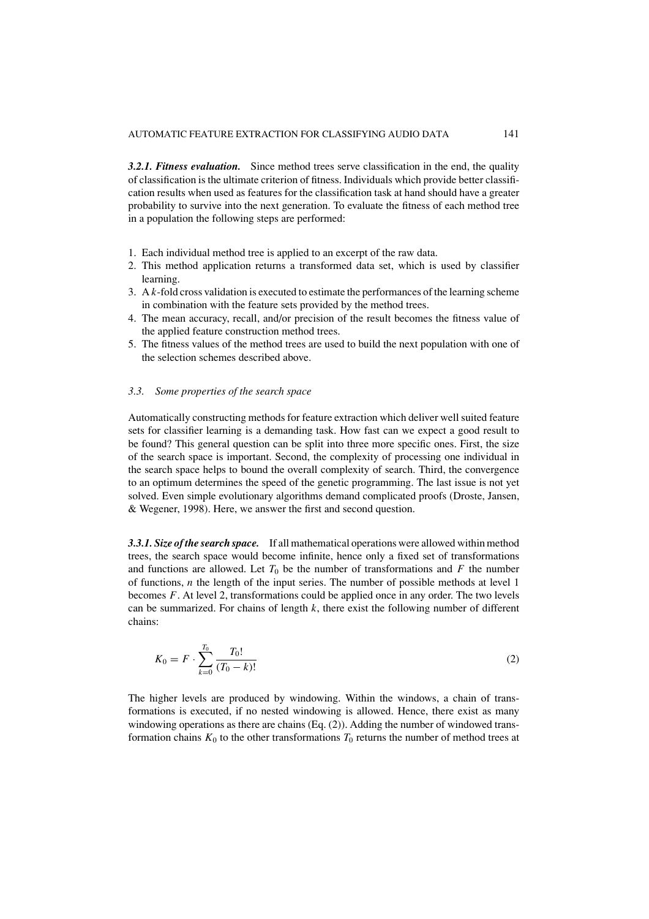*3.2.1. Fitness evaluation.* Since method trees serve classification in the end, the quality of classification is the ultimate criterion of fitness. Individuals which provide better classification results when used as features for the classification task at hand should have a greater probability to survive into the next generation. To evaluate the fitness of each method tree in a population the following steps are performed:

- 1. Each individual method tree is applied to an excerpt of the raw data.
- 2. This method application returns a transformed data set, which is used by classifier learning.
- 3. A *k*-fold cross validation is executed to estimate the performances of the learning scheme in combination with the feature sets provided by the method trees.
- 4. The mean accuracy, recall, and/or precision of the result becomes the fitness value of the applied feature construction method trees.
- 5. The fitness values of the method trees are used to build the next population with one of the selection schemes described above.

#### *3.3. Some properties of the search space*

Automatically constructing methods for feature extraction which deliver well suited feature sets for classifier learning is a demanding task. How fast can we expect a good result to be found? This general question can be split into three more specific ones. First, the size of the search space is important. Second, the complexity of processing one individual in the search space helps to bound the overall complexity of search. Third, the convergence to an optimum determines the speed of the genetic programming. The last issue is not yet solved. Even simple evolutionary algorithms demand complicated proofs (Droste, Jansen, & Wegener, 1998). Here, we answer the first and second question.

*3.3.1. Size of the search space.* If all mathematical operations were allowed within method trees, the search space would become infinite, hence only a fixed set of transformations and functions are allowed. Let  $T_0$  be the number of transformations and F the number of functions, *n* the length of the input series. The number of possible methods at level 1 becomes *F*. At level 2, transformations could be applied once in any order. The two levels can be summarized. For chains of length *k*, there exist the following number of different chains:

$$
K_0 = F \cdot \sum_{k=0}^{T_0} \frac{T_0!}{(T_0 - k)!} \tag{2}
$$

The higher levels are produced by windowing. Within the windows, a chain of transformations is executed, if no nested windowing is allowed. Hence, there exist as many windowing operations as there are chains (Eq. (2)). Adding the number of windowed transformation chains  $K_0$  to the other transformations  $T_0$  returns the number of method trees at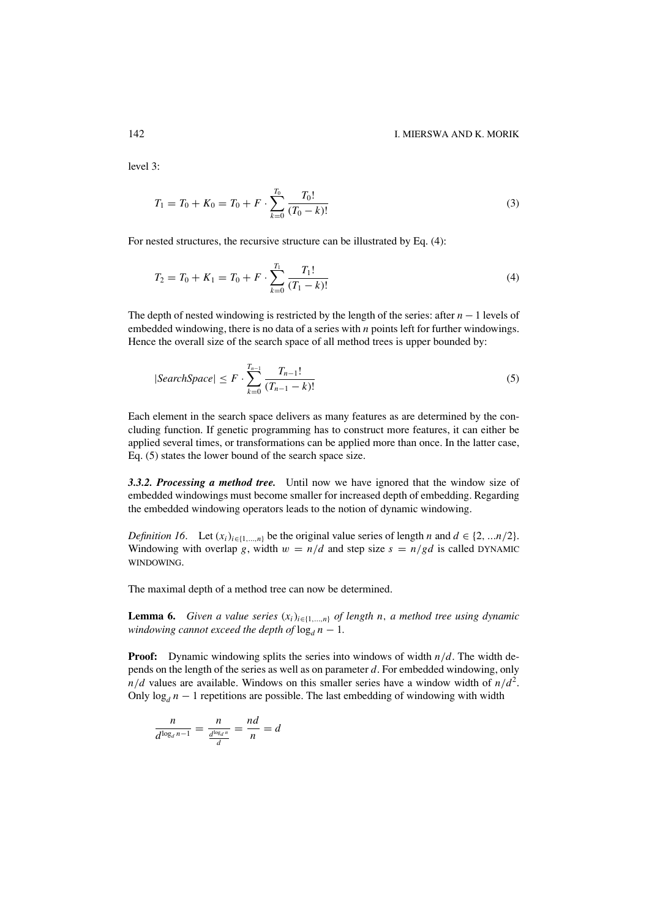level 3:

$$
T_1 = T_0 + K_0 = T_0 + F \cdot \sum_{k=0}^{T_0} \frac{T_0!}{(T_0 - k)!}
$$
\n(3)

For nested structures, the recursive structure can be illustrated by Eq. (4):

$$
T_2 = T_0 + K_1 = T_0 + F \cdot \sum_{k=0}^{T_1} \frac{T_1!}{(T_1 - k)!}
$$
\n(4)

The depth of nested windowing is restricted by the length of the series: after *n* − 1 levels of embedded windowing, there is no data of a series with *n* points left for further windowings. Hence the overall size of the search space of all method trees is upper bounded by:

$$
|SearchSpace| \le F \cdot \sum_{k=0}^{T_{n-1}} \frac{T_{n-1}!}{(T_{n-1} - k)!}
$$
\n(5)

Each element in the search space delivers as many features as are determined by the concluding function. If genetic programming has to construct more features, it can either be applied several times, or transformations can be applied more than once. In the latter case, Eq. (5) states the lower bound of the search space size.

*3.3.2. Processing a method tree.* Until now we have ignored that the window size of embedded windowings must become smaller for increased depth of embedding. Regarding the embedded windowing operators leads to the notion of dynamic windowing.

*Definition 16.* Let  $(x_i)_{i \in \{1,\ldots,n\}}$  be the original value series of length *n* and  $d \in \{2, \ldots n/2\}$ . Windowing with overlap *g*, width  $w = n/d$  and step size  $s = n/gd$  is called DYNAMIC WINDOWING.

The maximal depth of a method tree can now be determined.

**Lemma 6.** *Given a value series*  $(x_i)_{i \in \{1, \ldots, n\}}$  *of length n, a method tree using dynamic windowing cannot exceed the depth of*  $\log_d n - 1$ *.* 

**Proof:** Dynamic windowing splits the series into windows of width *n/d*. The width depends on the length of the series as well as on parameter *d*. For embedded windowing, only  $n/d$  values are available. Windows on this smaller series have a window width of  $n/d^2$ . Only  $\log_d n - 1$  repetitions are possible. The last embedding of windowing with width

$$
\frac{n}{d^{\log_d n - 1}} = \frac{n}{\frac{d^{\log_d n}}{d}} = \frac{nd}{n} = d
$$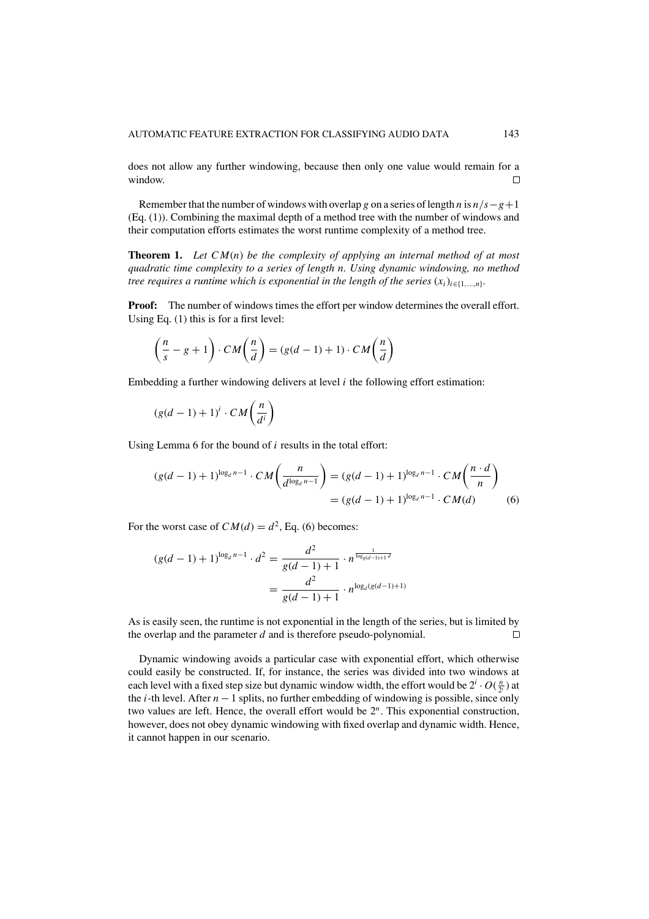does not allow any further windowing, because then only one value would remain for a window.  $\Box$ 

Remember that the number of windows with overlap *g* on a series of length *n* is  $n/s - g + 1$ (Eq. (1)). Combining the maximal depth of a method tree with the number of windows and their computation efforts estimates the worst runtime complexity of a method tree.

**Theorem 1.** *Let C M*(*n*) *be the complexity of applying an internal method of at most quadratic time complexity to a series of length n. Using dynamic windowing, no method tree requires a runtime which is exponential in the length of the series*  $(x_i)_{i \in \{1,\ldots,n\}}$ *.* 

**Proof:** The number of windows times the effort per window determines the overall effort. Using Eq. (1) this is for a first level:

$$
\left(\frac{n}{s} - s + 1\right) \cdot CM\left(\frac{n}{d}\right) = \left(g(d - 1) + 1\right) \cdot CM\left(\frac{n}{d}\right)
$$

Embedding a further windowing delivers at level *i* the following effort estimation:

$$
(g(d-1)+1)^i \cdot CM\left(\frac{n}{d^i}\right)
$$

Using Lemma 6 for the bound of *i* results in the total effort:

$$
(g(d-1) + 1)^{\log_d n - 1} \cdot CM\left(\frac{n}{d^{\log_d n - 1}}\right) = (g(d-1) + 1)^{\log_d n - 1} \cdot CM\left(\frac{n \cdot d}{n}\right)
$$
  
=  $(g(d-1) + 1)^{\log_d n - 1} \cdot CM(d)$  (6)

For the worst case of  $CM(d) = d^2$ , Eq. (6) becomes:

$$
(g(d-1) + 1)^{\log_d n - 1} \cdot d^2 = \frac{d^2}{g(d-1) + 1} \cdot n^{\frac{1}{\log_d (d-1) + 1^d}}
$$

$$
= \frac{d^2}{g(d-1) + 1} \cdot n^{\log_d (g(d-1) + 1)}
$$

As is easily seen, the runtime is not exponential in the length of the series, but is limited by the overlap and the parameter *d* and is therefore pseudo-polynomial.  $\Box$ 

Dynamic windowing avoids a particular case with exponential effort, which otherwise could easily be constructed. If, for instance, the series was divided into two windows at each level with a fixed step size but dynamic window width, the effort would be  $2^i \cdot O(\frac{n}{2^i})$  at the *i*-th level. After  $n-1$  splits, no further embedding of windowing is possible, since only two values are left. Hence, the overall effort would be 2*<sup>n</sup>*. This exponential construction, however, does not obey dynamic windowing with fixed overlap and dynamic width. Hence, it cannot happen in our scenario.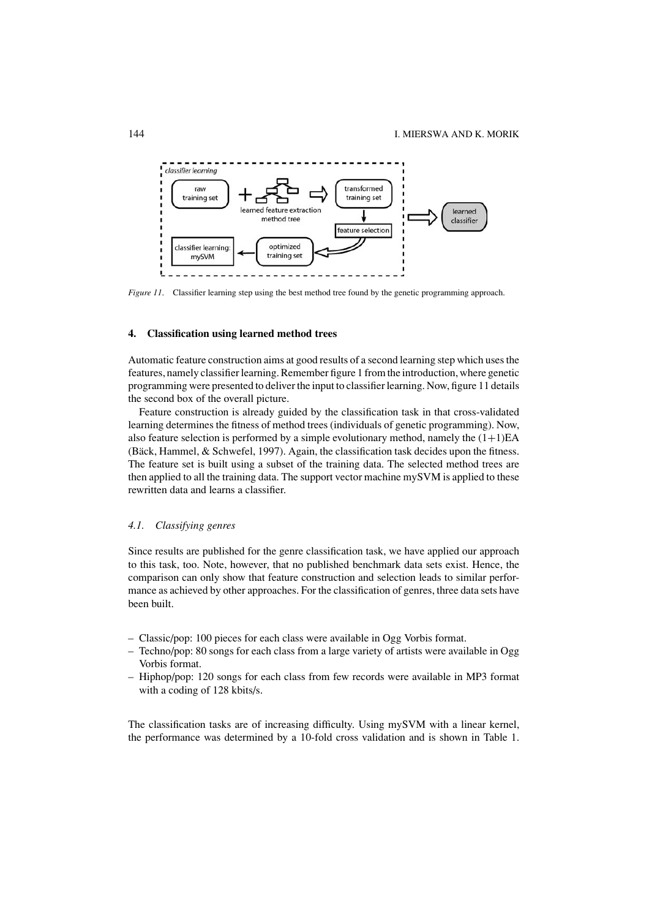

*Figure 11*. Classifier learning step using the best method tree found by the genetic programming approach.

### **4. Classification using learned method trees**

Automatic feature construction aims at good results of a second learning step which uses the features, namely classifier learning. Remember figure 1 from the introduction, where genetic programming were presented to deliver the input to classifier learning. Now, figure 11 details the second box of the overall picture.

Feature construction is already guided by the classification task in that cross-validated learning determines the fitness of method trees (individuals of genetic programming). Now, also feature selection is performed by a simple evolutionary method, namely the  $(1+1)EA$ (Bäck, Hammel, & Schwefel, 1997). Again, the classification task decides upon the fitness. The feature set is built using a subset of the training data. The selected method trees are then applied to all the training data. The support vector machine mySVM is applied to these rewritten data and learns a classifier.

## *4.1. Classifying genres*

Since results are published for the genre classification task, we have applied our approach to this task, too. Note, however, that no published benchmark data sets exist. Hence, the comparison can only show that feature construction and selection leads to similar performance as achieved by other approaches. For the classification of genres, three data sets have been built.

- Classic/pop: 100 pieces for each class were available in Ogg Vorbis format.
- Techno/pop: 80 songs for each class from a large variety of artists were available in Ogg Vorbis format.
- Hiphop/pop: 120 songs for each class from few records were available in MP3 format with a coding of 128 kbits/s.

The classification tasks are of increasing difficulty. Using mySVM with a linear kernel, the performance was determined by a 10-fold cross validation and is shown in Table 1.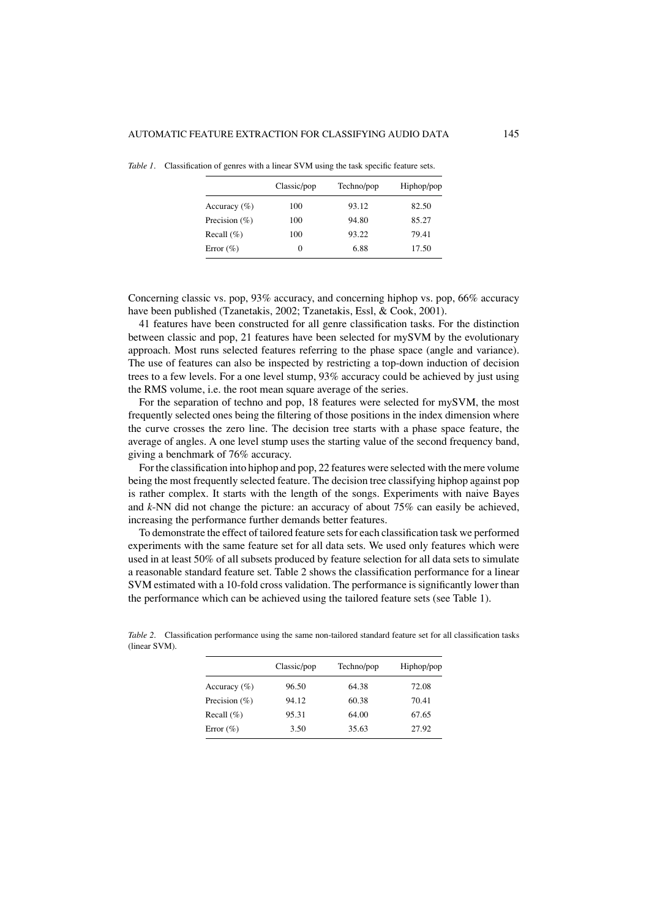|                   | Classic/pop | Techno/pop | Hiphop/pop |
|-------------------|-------------|------------|------------|
| Accuracy $(\% )$  | 100         | 93.12      | 82.50      |
| Precision $(\% )$ | 100         | 94.80      | 85.27      |
| Recall $(\%)$     | 100         | 93.22      | 79.41      |
| Error $(\% )$     | 0           | 6.88       | 17.50      |

*Table 1.* Classification of genres with a linear SVM using the task specific feature sets.

| Concerning classic vs. pop, 93% accuracy, and concerning hiphop vs. pop, 66% accuracy |  |  |  |  |  |
|---------------------------------------------------------------------------------------|--|--|--|--|--|
| have been published (Tzanetakis, 2002; Tzanetakis, Essl, & Cook, 2001).               |  |  |  |  |  |

41 features have been constructed for all genre classification tasks. For the distinction between classic and pop, 21 features have been selected for mySVM by the evolutionary approach. Most runs selected features referring to the phase space (angle and variance). The use of features can also be inspected by restricting a top-down induction of decision trees to a few levels. For a one level stump, 93% accuracy could be achieved by just using the RMS volume, i.e. the root mean square average of the series.

For the separation of techno and pop, 18 features were selected for mySVM, the most frequently selected ones being the filtering of those positions in the index dimension where the curve crosses the zero line. The decision tree starts with a phase space feature, the average of angles. A one level stump uses the starting value of the second frequency band, giving a benchmark of 76% accuracy.

For the classification into hiphop and pop, 22 features were selected with the mere volume being the most frequently selected feature. The decision tree classifying hiphop against pop is rather complex. It starts with the length of the songs. Experiments with naive Bayes and *k*-NN did not change the picture: an accuracy of about 75% can easily be achieved, increasing the performance further demands better features.

To demonstrate the effect of tailored feature sets for each classification task we performed experiments with the same feature set for all data sets. We used only features which were used in at least 50% of all subsets produced by feature selection for all data sets to simulate a reasonable standard feature set. Table 2 shows the classification performance for a linear SVM estimated with a 10-fold cross validation. The performance is significantly lower than the performance which can be achieved using the tailored feature sets (see Table 1).

|                   | Classic/pop | Techno/pop | Hiphop/pop |
|-------------------|-------------|------------|------------|
| Accuracy $(\% )$  | 96.50       | 64.38      | 72.08      |
| Precision $(\% )$ | 94.12       | 60.38      | 70.41      |
| Recall $(\%)$     | 95.31       | 64.00      | 67.65      |
| Error $(\% )$     | 3.50        | 35.63      | 27.92      |

*Table 2*. Classification performance using the same non-tailored standard feature set for all classification tasks (linear SVM).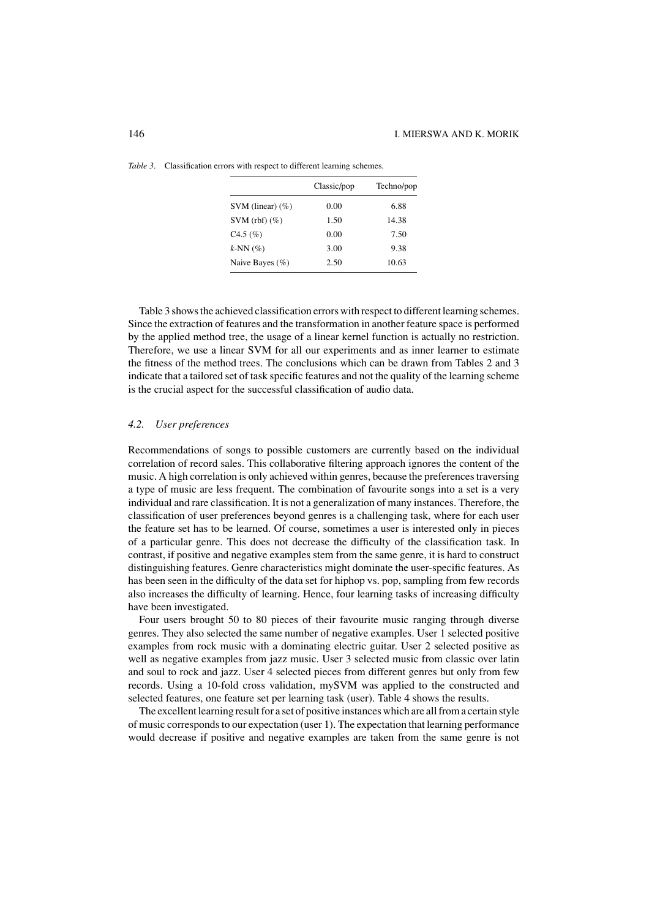|                      | Classic/pop | Techno/pop |
|----------------------|-------------|------------|
| SVM (linear) $(\% )$ | 0.00        | 6.88       |

*Table 3*. Classification errors with respect to different learning schemes.

| Table 3 shows the achieved classification errors with respect to different learning schemes.      |
|---------------------------------------------------------------------------------------------------|
| Since the extraction of features and the transformation in another feature space is performed     |
| by the applied method tree, the usage of a linear kernel function is actually no restriction.     |
| Therefore, we use a linear SVM for all our experiments and as inner learner to estimate           |
| the fitness of the method trees. The conclusions which can be drawn from Tables 2 and 3           |
| indicate that a tailored set of task specific features and not the quality of the learning scheme |
| is the crucial aspect for the successful classification of audio data.                            |

SVM (rbf) (%) 1.50 14.38  $C4.5\ (\%)$  0.00 7.50  $k\text{-NN}$  (%) 3.00 9.38 Naive Bayes (%) 2.50 10.63

#### *4.2. User preferences*

Recommendations of songs to possible customers are currently based on the individual correlation of record sales. This collaborative filtering approach ignores the content of the music. A high correlation is only achieved within genres, because the preferences traversing a type of music are less frequent. The combination of favourite songs into a set is a very individual and rare classification. It is not a generalization of many instances. Therefore, the classification of user preferences beyond genres is a challenging task, where for each user the feature set has to be learned. Of course, sometimes a user is interested only in pieces of a particular genre. This does not decrease the difficulty of the classification task. In contrast, if positive and negative examples stem from the same genre, it is hard to construct distinguishing features. Genre characteristics might dominate the user-specific features. As has been seen in the difficulty of the data set for hiphop vs. pop, sampling from few records also increases the difficulty of learning. Hence, four learning tasks of increasing difficulty have been investigated.

Four users brought 50 to 80 pieces of their favourite music ranging through diverse genres. They also selected the same number of negative examples. User 1 selected positive examples from rock music with a dominating electric guitar. User 2 selected positive as well as negative examples from jazz music. User 3 selected music from classic over latin and soul to rock and jazz. User 4 selected pieces from different genres but only from few records. Using a 10-fold cross validation, mySVM was applied to the constructed and selected features, one feature set per learning task (user). Table 4 shows the results.

The excellent learning result for a set of positive instances which are all from a certain style of music corresponds to our expectation (user 1). The expectation that learning performance would decrease if positive and negative examples are taken from the same genre is not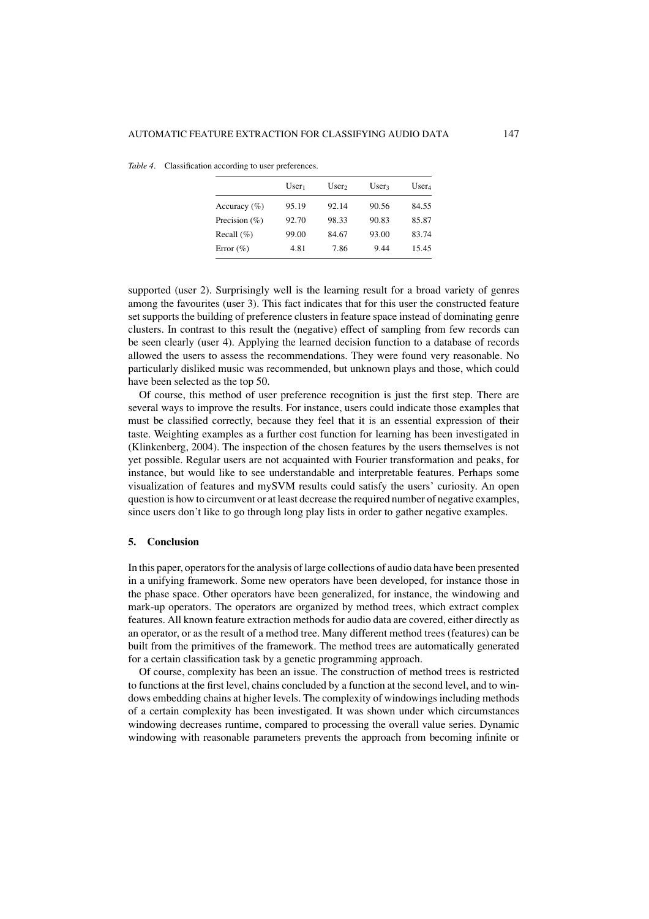| Table 4. |  |  | Classification according to user preferences. |
|----------|--|--|-----------------------------------------------|
|----------|--|--|-----------------------------------------------|

|                   | User <sub>1</sub> | User <sub>2</sub> | User <sub>3</sub> | User <sub>4</sub> |
|-------------------|-------------------|-------------------|-------------------|-------------------|
| Accuracy $(\% )$  | 95.19             | 92.14             | 90.56             | 84.55             |
| Precision $(\% )$ | 92.70             | 98.33             | 90.83             | 85.87             |
| Recall $(\% )$    | 99.00             | 84.67             | 93.00             | 83.74             |
| Error $(\%)$      | 4.81              | 7.86              | 9.44              | 15.45             |

supported (user 2). Surprisingly well is the learning result for a broad variety of genres among the favourites (user 3). This fact indicates that for this user the constructed feature set supports the building of preference clusters in feature space instead of dominating genre clusters. In contrast to this result the (negative) effect of sampling from few records can be seen clearly (user 4). Applying the learned decision function to a database of records allowed the users to assess the recommendations. They were found very reasonable. No particularly disliked music was recommended, but unknown plays and those, which could have been selected as the top 50.

Of course, this method of user preference recognition is just the first step. There are several ways to improve the results. For instance, users could indicate those examples that must be classified correctly, because they feel that it is an essential expression of their taste. Weighting examples as a further cost function for learning has been investigated in (Klinkenberg, 2004). The inspection of the chosen features by the users themselves is not yet possible. Regular users are not acquainted with Fourier transformation and peaks, for instance, but would like to see understandable and interpretable features. Perhaps some visualization of features and mySVM results could satisfy the users' curiosity. An open question is how to circumvent or at least decrease the required number of negative examples, since users don't like to go through long play lists in order to gather negative examples.

#### **5. Conclusion**

In this paper, operators for the analysis of large collections of audio data have been presented in a unifying framework. Some new operators have been developed, for instance those in the phase space. Other operators have been generalized, for instance, the windowing and mark-up operators. The operators are organized by method trees, which extract complex features. All known feature extraction methods for audio data are covered, either directly as an operator, or as the result of a method tree. Many different method trees (features) can be built from the primitives of the framework. The method trees are automatically generated for a certain classification task by a genetic programming approach.

Of course, complexity has been an issue. The construction of method trees is restricted to functions at the first level, chains concluded by a function at the second level, and to windows embedding chains at higher levels. The complexity of windowings including methods of a certain complexity has been investigated. It was shown under which circumstances windowing decreases runtime, compared to processing the overall value series. Dynamic windowing with reasonable parameters prevents the approach from becoming infinite or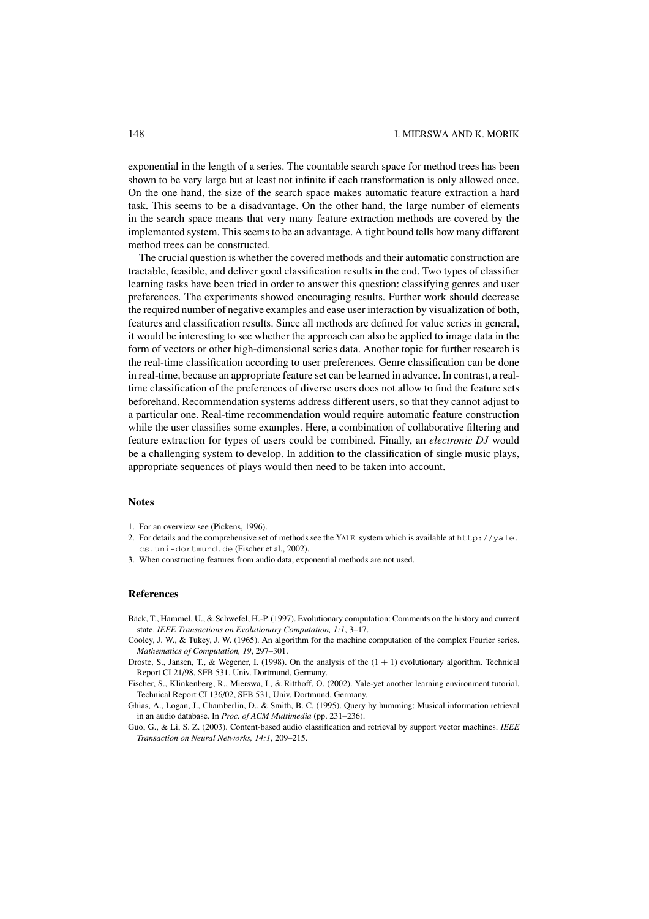#### 148 I. MIERSWA AND K. MORIK

exponential in the length of a series. The countable search space for method trees has been shown to be very large but at least not infinite if each transformation is only allowed once. On the one hand, the size of the search space makes automatic feature extraction a hard task. This seems to be a disadvantage. On the other hand, the large number of elements in the search space means that very many feature extraction methods are covered by the implemented system. This seems to be an advantage. A tight bound tells how many different method trees can be constructed.

The crucial question is whether the covered methods and their automatic construction are tractable, feasible, and deliver good classification results in the end. Two types of classifier learning tasks have been tried in order to answer this question: classifying genres and user preferences. The experiments showed encouraging results. Further work should decrease the required number of negative examples and ease user interaction by visualization of both, features and classification results. Since all methods are defined for value series in general, it would be interesting to see whether the approach can also be applied to image data in the form of vectors or other high-dimensional series data. Another topic for further research is the real-time classification according to user preferences. Genre classification can be done in real-time, because an appropriate feature set can be learned in advance. In contrast, a realtime classification of the preferences of diverse users does not allow to find the feature sets beforehand. Recommendation systems address different users, so that they cannot adjust to a particular one. Real-time recommendation would require automatic feature construction while the user classifies some examples. Here, a combination of collaborative filtering and feature extraction for types of users could be combined. Finally, an *electronic DJ* would be a challenging system to develop. In addition to the classification of single music plays, appropriate sequences of plays would then need to be taken into account.

#### **Notes**

- 1. For an overview see (Pickens, 1996).
- 2. For details and the comprehensive set of methods see the YALE system which is available at http://yale. cs.uni-dortmund.de (Fischer et al., 2002).
- 3. When constructing features from audio data, exponential methods are not used.

#### **References**

- Bäck, T., Hammel, U., & Schwefel, H.-P. (1997). Evolutionary computation: Comments on the history and current state. *IEEE Transactions on Evolutionary Computation, 1:1*, 3–17.
- Cooley, J. W., & Tukey, J. W. (1965). An algorithm for the machine computation of the complex Fourier series. *Mathematics of Computation, 19*, 297–301.
- Droste, S., Jansen, T., & Wegener, I. (1998). On the analysis of the  $(1 + 1)$  evolutionary algorithm. Technical Report CI 21/98, SFB 531, Univ. Dortmund, Germany.

Fischer, S., Klinkenberg, R., Mierswa, I., & Ritthoff, O. (2002). Yale-yet another learning environment tutorial. Technical Report CI 136/02, SFB 531, Univ. Dortmund, Germany.

- Ghias, A., Logan, J., Chamberlin, D., & Smith, B. C. (1995). Query by humming: Musical information retrieval in an audio database. In *Proc. of ACM Multimedia* (pp. 231–236).
- Guo, G., & Li, S. Z. (2003). Content-based audio classification and retrieval by support vector machines. *IEEE Transaction on Neural Networks, 14:1*, 209–215.